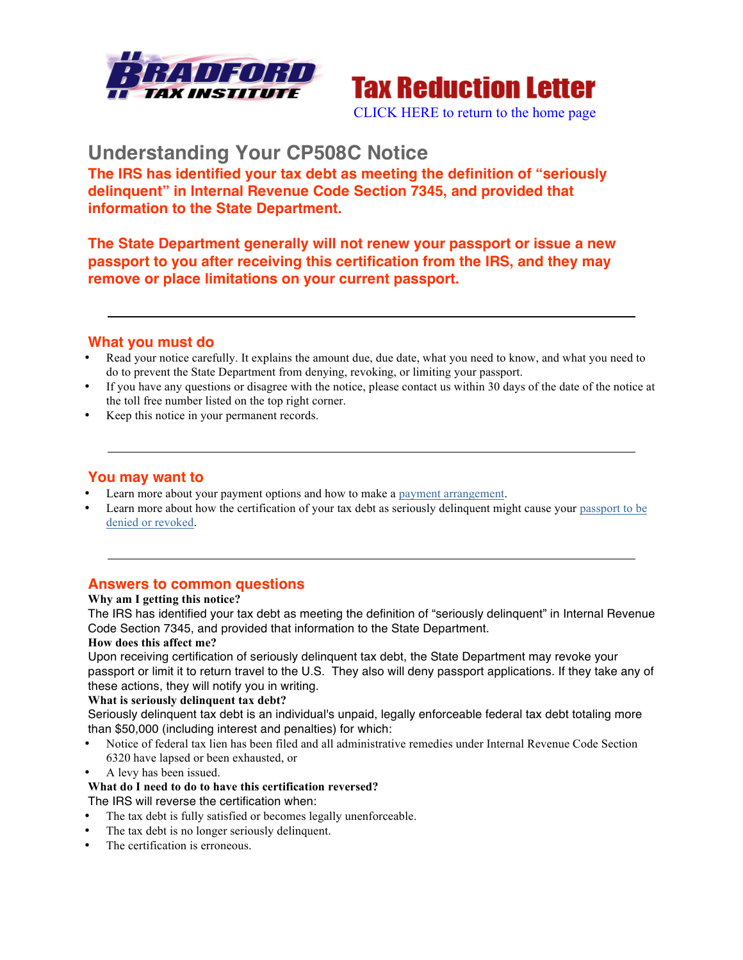



# **Understanding Your CP508C Notice**

**The IRS has identified your tax debt as meeting the definition of "seriously delinquent" in Internal Revenue Code Section 7345, and provided that information to the State Department.**

**The State Department generally will not renew your passport or issue a new passport to you after receiving this certification from the IRS, and they may remove or place limitations on your current passport.**

## **What you must do**

- Read your notice carefully. It explains the amount due, due date, what you need to know, and what you need to do to prevent the State Department from denying, revoking, or limiting your passport.
- If you have any questions or disagree with the notice, please contact us within 30 days of the date of the notice at the toll free number listed on the top right corner.
- Keep this notice in your permanent records.

## **You may want to**

- Learn more about your payment options and how to make a payment arrangement.
- Learn more about how the certification of your tax debt as seriously delinquent might cause your passport to be denied or revoked.

# **Answers to common questions**

## **Why am I getting this notice?**

The IRS has identified your tax debt as meeting the definition of "seriously delinquent" in Internal Revenue Code Section 7345, and provided that information to the State Department.

#### **How does this affect me?**

Upon receiving certification of seriously delinquent tax debt, the State Department may revoke your passport or limit it to return travel to the U.S. They also will deny passport applications. If they take any of these actions, they will notify you in writing.

#### **What is seriously delinquent tax debt?**

Seriously delinquent tax debt is an individual's unpaid, legally enforceable federal tax debt totaling more than \$50,000 (including interest and penalties) for which:

- Notice of federal tax lien has been filed and all administrative remedies under Internal Revenue Code Section 6320 have lapsed or been exhausted, or
- A levy has been issued.

#### **What do I need to do to have this certification reversed?**

The IRS will reverse the certification when:

- The tax debt is fully satisfied or becomes legally unenforceable.
- The tax debt is no longer seriously delinquent.
- The certification is erroneous.